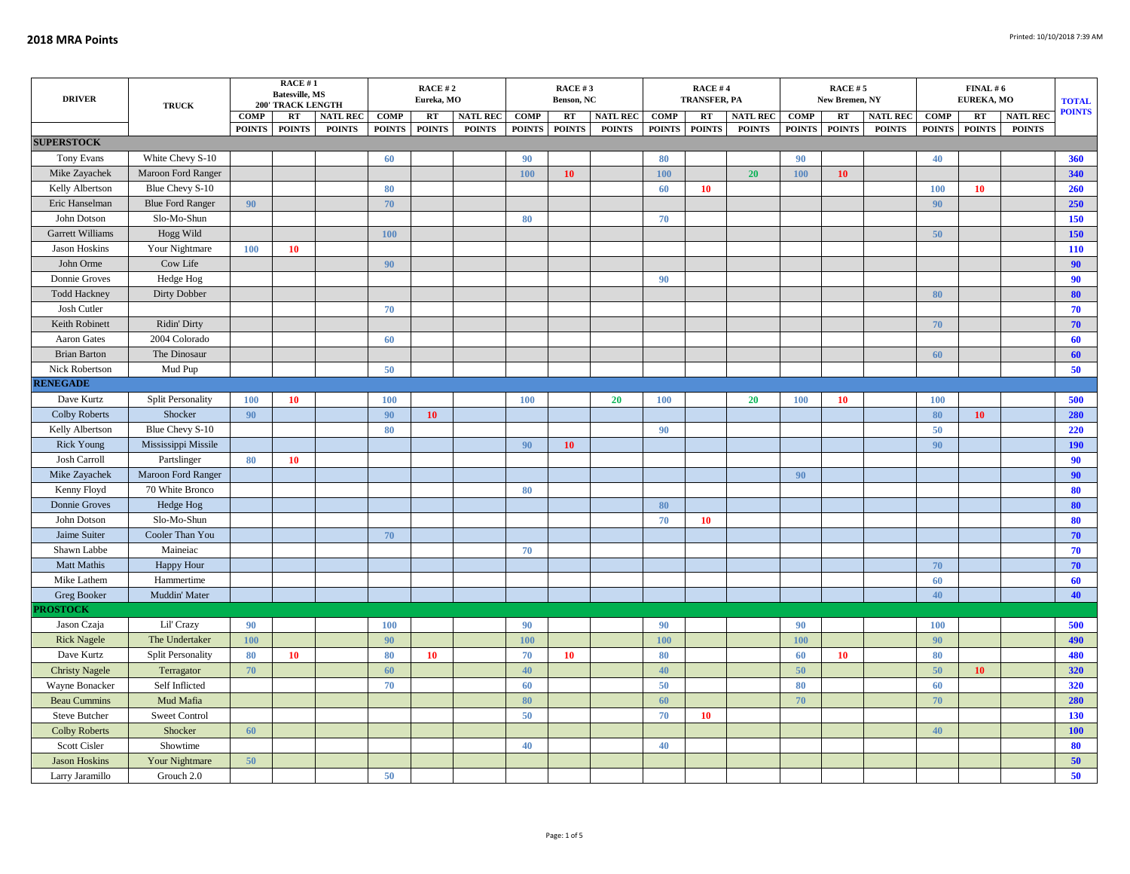| <b>DRIVER</b>               | <b>TRUCK</b>                    |             | <b>RACE#1</b><br><b>Batesville, MS</b><br><b>200' TRACK LENGTH</b> |                 |               | RACE #2<br>Eureka, MO |                 |               | RACE #3<br>Benson, NC |                 |               | <b>RACE#4</b><br><b>TRANSFER, PA</b> |                 |               | <b>RACE #5</b><br>New Bremen, NY |                 | EUREKA, MO    | <b>TOTAL</b><br><b>POINTS</b> |                 |            |
|-----------------------------|---------------------------------|-------------|--------------------------------------------------------------------|-----------------|---------------|-----------------------|-----------------|---------------|-----------------------|-----------------|---------------|--------------------------------------|-----------------|---------------|----------------------------------|-----------------|---------------|-------------------------------|-----------------|------------|
|                             |                                 | <b>COMP</b> | RT                                                                 | <b>NATL REC</b> | <b>COMP</b>   | <b>RT</b>             | <b>NATL REC</b> | <b>COMP</b>   | RT                    | <b>NATL REC</b> | COMP          | RT                                   | <b>NATL REC</b> | COMP          | RT                               | <b>NATL REC</b> | COMP          | RT                            | <b>NATL REC</b> |            |
| <b>SUPERSTOCK</b>           |                                 |             | POINTS POINTS                                                      | <b>POINTS</b>   | <b>POINTS</b> | <b>POINTS</b>         | <b>POINTS</b>   | <b>POINTS</b> | <b>POINTS</b>         | <b>POINTS</b>   | <b>POINTS</b> | <b>POINTS</b>                        | <b>POINTS</b>   | <b>POINTS</b> | <b>POINTS</b>                    | <b>POINTS</b>   | <b>POINTS</b> | <b>POINTS</b>                 | <b>POINTS</b>   |            |
| Tony Evans                  | White Chevy S-10                |             |                                                                    |                 | 60            |                       |                 | 90            |                       |                 | 80            |                                      |                 | 90            |                                  |                 | 40            |                               |                 | 360        |
| Mike Zayachek               | Maroon Ford Ranger              |             |                                                                    |                 |               |                       |                 | 100           | 10                    |                 | 100           |                                      | 20 <sup>°</sup> | 100           | 10 <sup>°</sup>                  |                 |               |                               |                 | 340        |
| Kelly Albertson             | Blue Chevy S-10                 |             |                                                                    |                 | 80            |                       |                 |               |                       |                 | 60            | 10                                   |                 |               |                                  |                 | 100           | <b>10</b>                     |                 | 260        |
| Eric Hanselman              | <b>Blue Ford Ranger</b>         | 90          |                                                                    |                 | 70            |                       |                 |               |                       |                 |               |                                      |                 |               |                                  |                 | 90            |                               |                 | 250        |
| John Dotson                 | Slo-Mo-Shun                     |             |                                                                    |                 |               |                       |                 | 80            |                       |                 | 70            |                                      |                 |               |                                  |                 |               |                               |                 | 150        |
| <b>Garrett Williams</b>     | Hogg Wild                       |             |                                                                    |                 | 100           |                       |                 |               |                       |                 |               |                                      |                 |               |                                  |                 | 50            |                               |                 | 150        |
| <b>Jason Hoskins</b>        | Your Nightmare                  | <b>100</b>  | 10                                                                 |                 |               |                       |                 |               |                       |                 |               |                                      |                 |               |                                  |                 |               |                               |                 | 110        |
| John Orme                   | Cow Life                        |             |                                                                    |                 | 90            |                       |                 |               |                       |                 |               |                                      |                 |               |                                  |                 |               |                               |                 | 90         |
| Donnie Groves               | Hedge Hog                       |             |                                                                    |                 |               |                       |                 |               |                       |                 | 90            |                                      |                 |               |                                  |                 |               |                               |                 | 90         |
| <b>Todd Hackney</b>         | Dirty Dobber                    |             |                                                                    |                 |               |                       |                 |               |                       |                 |               |                                      |                 |               |                                  |                 | 80            |                               |                 | 80         |
| Josh Cutler                 |                                 |             |                                                                    |                 | 70            |                       |                 |               |                       |                 |               |                                      |                 |               |                                  |                 |               |                               |                 | 70         |
| Keith Robinett              | Ridin' Dirty                    |             |                                                                    |                 |               |                       |                 |               |                       |                 |               |                                      |                 |               |                                  |                 | 70            |                               |                 | 70         |
| Aaron Gates                 | 2004 Colorado                   |             |                                                                    |                 | 60            |                       |                 |               |                       |                 |               |                                      |                 |               |                                  |                 |               |                               |                 | 60         |
| <b>Brian Barton</b>         | The Dinosaur                    |             |                                                                    |                 |               |                       |                 |               |                       |                 |               |                                      |                 |               |                                  |                 | 60            |                               |                 | 60         |
| Nick Robertson              | Mud Pup                         |             |                                                                    |                 | 50            |                       |                 |               |                       |                 |               |                                      |                 |               |                                  |                 |               |                               |                 | 50         |
| <b>RENEGADE</b>             |                                 |             |                                                                    |                 |               |                       |                 |               |                       |                 |               |                                      |                 |               |                                  |                 |               |                               |                 |            |
| Dave Kurtz                  | <b>Split Personality</b>        | <b>100</b>  | 10                                                                 |                 | 100           |                       |                 | <b>100</b>    |                       | 20              | <b>100</b>    |                                      | 20              | <b>100</b>    | 10                               |                 | <b>100</b>    |                               |                 | 500        |
| <b>Colby Roberts</b>        | Shocker                         | 90          |                                                                    |                 | 90            | 10                    |                 |               |                       |                 |               |                                      |                 |               |                                  |                 | 80            | <b>10</b>                     |                 | 280        |
| Kelly Albertson             | Blue Chevy S-10                 |             |                                                                    |                 | 80            |                       |                 |               |                       |                 | 90            |                                      |                 |               |                                  |                 | 50            |                               |                 | 220        |
| <b>Rick Young</b>           | Mississippi Missile             |             |                                                                    |                 |               |                       |                 | 90            | 10                    |                 |               |                                      |                 |               |                                  |                 | 90            |                               |                 | <b>190</b> |
| Josh Carroll                | Partslinger                     | 80          | 10                                                                 |                 |               |                       |                 |               |                       |                 |               |                                      |                 |               |                                  |                 |               |                               |                 | 90         |
| Mike Zayachek               | Maroon Ford Ranger              |             |                                                                    |                 |               |                       |                 |               |                       |                 |               |                                      |                 | 90            |                                  |                 |               |                               |                 | 90         |
| Kenny Floyd                 | 70 White Bronco                 |             |                                                                    |                 |               |                       |                 | 80            |                       |                 |               |                                      |                 |               |                                  |                 |               |                               |                 | 80         |
| Donnie Groves               | Hedge Hog                       |             |                                                                    |                 |               |                       |                 |               |                       |                 | 80            |                                      |                 |               |                                  |                 |               |                               |                 | 80         |
| John Dotson<br>Jaime Suiter | Slo-Mo-Shun<br>Cooler Than You  |             |                                                                    |                 | 70            |                       |                 |               |                       |                 | 70            | <b>10</b>                            |                 |               |                                  |                 |               |                               |                 | 80<br>70   |
| Shawn Labbe                 | Maineiac                        |             |                                                                    |                 |               |                       |                 | 70            |                       |                 |               |                                      |                 |               |                                  |                 |               |                               |                 | 70         |
| Matt Mathis                 |                                 |             |                                                                    |                 |               |                       |                 |               |                       |                 |               |                                      |                 |               |                                  |                 | 70            |                               |                 | 70         |
| Mike Lathem                 | <b>Happy Hour</b><br>Hammertime |             |                                                                    |                 |               |                       |                 |               |                       |                 |               |                                      |                 |               |                                  |                 | 60            |                               |                 | 60         |
| <b>Greg Booker</b>          | Muddin' Mater                   |             |                                                                    |                 |               |                       |                 |               |                       |                 |               |                                      |                 |               |                                  |                 | 40            |                               |                 | 40         |
| <b>PROSTOCK</b>             |                                 |             |                                                                    |                 |               |                       |                 |               |                       |                 |               |                                      |                 |               |                                  |                 |               |                               |                 |            |
| Jason Czaja                 | Lil' Crazy                      | 90          |                                                                    |                 | 100           |                       |                 | 90            |                       |                 | 90            |                                      |                 | 90            |                                  |                 | <b>100</b>    |                               |                 | 500        |
| <b>Rick Nagele</b>          | The Undertaker                  | <b>100</b>  |                                                                    |                 | 90            |                       |                 | 100           |                       |                 | 100           |                                      |                 | 100           |                                  |                 | 90            |                               |                 | 490        |
| Dave Kurtz                  | <b>Split Personality</b>        | 80          | 10                                                                 |                 | 80            | 10                    |                 | 70            | <b>10</b>             |                 | 80            |                                      |                 | 60            | 10                               |                 | 80            |                               |                 | 480        |
| <b>Christy Nagele</b>       | Terragator                      | 70          |                                                                    |                 | 60            |                       |                 | 40            |                       |                 | 40            |                                      |                 | 50            |                                  |                 | 50            | <b>10</b>                     |                 | 320        |
| Wayne Bonacker              | Self Inflicted                  |             |                                                                    |                 | 70            |                       |                 | 60            |                       |                 | 50            |                                      |                 | 80            |                                  |                 | 60            |                               |                 | 320        |
| <b>Beau Cummins</b>         | Mud Mafia                       |             |                                                                    |                 |               |                       |                 | 80            |                       |                 | 60            |                                      |                 | 70            |                                  |                 | 70            |                               |                 | 280        |
| Steve Butcher               | <b>Sweet Control</b>            |             |                                                                    |                 |               |                       |                 | 50            |                       |                 | 70            | <b>10</b>                            |                 |               |                                  |                 |               |                               |                 | 130        |
| <b>Colby Roberts</b>        | Shocker                         | 60          |                                                                    |                 |               |                       |                 |               |                       |                 |               |                                      |                 |               |                                  |                 | 40            |                               |                 | <b>100</b> |
| Scott Cisler                | Showtime                        |             |                                                                    |                 |               |                       |                 | 40            |                       |                 | 40            |                                      |                 |               |                                  |                 |               |                               |                 | 80         |
| <b>Jason Hoskins</b>        | Your Nightmare                  | 50          |                                                                    |                 |               |                       |                 |               |                       |                 |               |                                      |                 |               |                                  |                 |               |                               |                 | 50         |
| Larry Jaramillo             | Grouch 2.0                      |             |                                                                    |                 | 50            |                       |                 |               |                       |                 |               |                                      |                 |               |                                  |                 |               |                               |                 | 50         |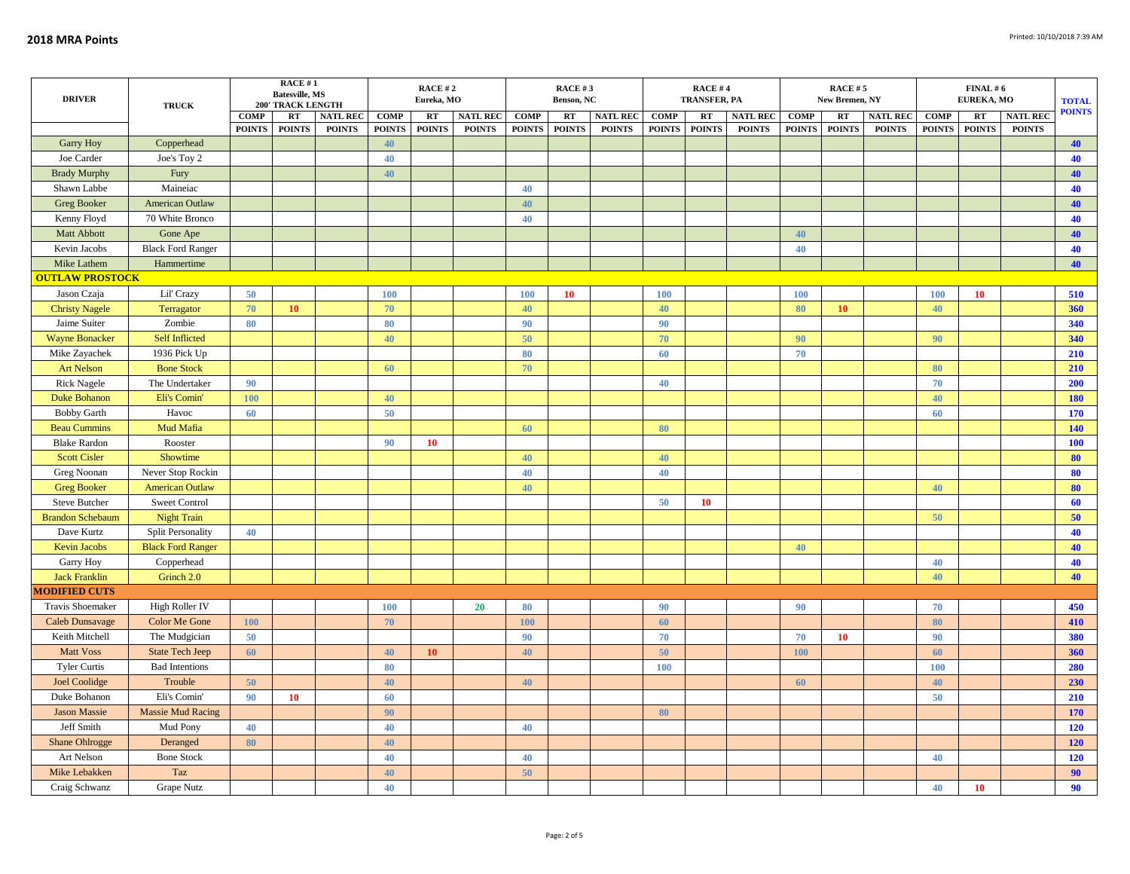| <b>DRIVER</b>           | <b>TRUCK</b>             |               | RACE#1<br><b>Batesville, MS</b><br><b>200' TRACK LENGTH</b> |                 | RACE #2<br>Eureka, MO |               |                 | RACE #3<br>Benson, NC |               |                 | <b>RACE #4</b><br><b>TRANSFER, PA</b> |               |                 |               | <b>RACE #5</b><br>New Bremen, NY |                 | EUREKA, MO    | <b>TOTAL</b>  |                 |               |
|-------------------------|--------------------------|---------------|-------------------------------------------------------------|-----------------|-----------------------|---------------|-----------------|-----------------------|---------------|-----------------|---------------------------------------|---------------|-----------------|---------------|----------------------------------|-----------------|---------------|---------------|-----------------|---------------|
|                         |                          | <b>COMP</b>   | RT                                                          | <b>NATL REC</b> | <b>COMP</b>           | RT            | <b>NATL REC</b> | <b>COMP</b>           | RT            | <b>NATL REC</b> | <b>COMP</b>                           | RT            | <b>NATL REC</b> | <b>COMP</b>   | RT                               | <b>NATL REC</b> | <b>COMP</b>   | RT            | <b>NATL REC</b> | <b>POINTS</b> |
|                         |                          | <b>POINTS</b> | <b>POINTS</b>                                               | <b>POINTS</b>   | <b>POINTS</b>         | <b>POINTS</b> | <b>POINTS</b>   | <b>POINTS</b>         | <b>POINTS</b> | <b>POINTS</b>   | <b>POINTS</b>                         | <b>POINTS</b> | <b>POINTS</b>   | <b>POINTS</b> | <b>POINTS</b>                    | <b>POINTS</b>   | <b>POINTS</b> | <b>POINTS</b> | <b>POINTS</b>   |               |
| <b>Garry Hoy</b>        | Copperhead               |               |                                                             |                 | 40                    |               |                 |                       |               |                 |                                       |               |                 |               |                                  |                 |               |               |                 | 40            |
| Joe Carder              | Joe's Toy 2              |               |                                                             |                 | 40                    |               |                 |                       |               |                 |                                       |               |                 |               |                                  |                 |               |               |                 | 40            |
| <b>Brady Murphy</b>     | Fury                     |               |                                                             |                 | 40                    |               |                 |                       |               |                 |                                       |               |                 |               |                                  |                 |               |               |                 | 40            |
| Shawn Labbe             | Maineiac                 |               |                                                             |                 |                       |               |                 | 40                    |               |                 |                                       |               |                 |               |                                  |                 |               |               |                 | 40            |
| <b>Greg Booker</b>      | American Outlaw          |               |                                                             |                 |                       |               |                 | 40                    |               |                 |                                       |               |                 |               |                                  |                 |               |               |                 | 40            |
| Kenny Floyd             | 70 White Bronco          |               |                                                             |                 |                       |               |                 | 40                    |               |                 |                                       |               |                 |               |                                  |                 |               |               |                 | 40            |
| Matt Abbott             | Gone Ape                 |               |                                                             |                 |                       |               |                 |                       |               |                 |                                       |               |                 | 40            |                                  |                 |               |               |                 | 40            |
| Kevin Jacobs            | <b>Black Ford Ranger</b> |               |                                                             |                 |                       |               |                 |                       |               |                 |                                       |               |                 | 40            |                                  |                 |               |               |                 | 40            |
| Mike Lathem             | Hammertime               |               |                                                             |                 |                       |               |                 |                       |               |                 |                                       |               |                 |               |                                  |                 |               |               |                 | 40            |
| <b>OUTLAW PROSTOCK</b>  |                          |               |                                                             |                 |                       |               |                 |                       |               |                 |                                       |               |                 |               |                                  |                 |               |               |                 |               |
| Jason Czaja             | Lil' Crazy               | 50            |                                                             |                 | 100                   |               |                 | 100                   | 10            |                 | 100                                   |               |                 | 100           |                                  |                 | 100           | 10            |                 | 510           |
| <b>Christy Nagele</b>   | Terragator               | 70            | 10                                                          |                 | 70                    |               |                 | 40                    |               |                 | 40                                    |               |                 | 80            | 10                               |                 | 40            |               |                 | 360           |
| Jaime Suiter            | Zombie                   | 80            |                                                             |                 | 80                    |               |                 | 90                    |               |                 | 90                                    |               |                 |               |                                  |                 |               |               |                 | 340           |
| <b>Wayne Bonacker</b>   | <b>Self Inflicted</b>    |               |                                                             |                 | 40                    |               |                 | 50                    |               |                 | 70                                    |               |                 | 90            |                                  |                 | 90            |               |                 | 340           |
| Mike Zayachek           | 1936 Pick Up             |               |                                                             |                 |                       |               |                 | 80                    |               |                 | 60                                    |               |                 | 70            |                                  |                 |               |               |                 | 210           |
| <b>Art Nelson</b>       | <b>Bone Stock</b>        |               |                                                             |                 | 60                    |               |                 | 70                    |               |                 |                                       |               |                 |               |                                  |                 | 80            |               |                 | 210           |
| <b>Rick Nagele</b>      | The Undertaker           | 90            |                                                             |                 |                       |               |                 |                       |               |                 | 40                                    |               |                 |               |                                  |                 | 70            |               |                 | 200           |
| <b>Duke Bohanon</b>     | Eli's Comin'             | 100           |                                                             |                 | 40                    |               |                 |                       |               |                 |                                       |               |                 |               |                                  |                 | 40            |               |                 | 180           |
| <b>Bobby Garth</b>      | Havoc                    | 60            |                                                             |                 | 50                    |               |                 |                       |               |                 |                                       |               |                 |               |                                  |                 | 60            |               |                 | 170           |
| <b>Beau Cummins</b>     | Mud Mafia                |               |                                                             |                 |                       |               |                 | 60                    |               |                 | 80                                    |               |                 |               |                                  |                 |               |               |                 | 140           |
| <b>Blake Rardon</b>     | Rooster                  |               |                                                             |                 | 90                    | 10            |                 |                       |               |                 |                                       |               |                 |               |                                  |                 |               |               |                 | 100           |
| <b>Scott Cisler</b>     | Showtime                 |               |                                                             |                 |                       |               |                 | 40                    |               |                 | 40                                    |               |                 |               |                                  |                 |               |               |                 | 80            |
| Greg Noonan             | Never Stop Rockin        |               |                                                             |                 |                       |               |                 | 40                    |               |                 | 40                                    |               |                 |               |                                  |                 |               |               |                 | 80            |
| <b>Greg Booker</b>      | <b>American Outlaw</b>   |               |                                                             |                 |                       |               |                 | 40                    |               |                 |                                       |               |                 |               |                                  |                 | 40            |               |                 | 80            |
| Steve Butcher           | Sweet Control            |               |                                                             |                 |                       |               |                 |                       |               |                 | 50                                    | 10            |                 |               |                                  |                 |               |               |                 | 60            |
| <b>Brandon Schebaum</b> | <b>Night Train</b>       |               |                                                             |                 |                       |               |                 |                       |               |                 |                                       |               |                 |               |                                  |                 | 50            |               |                 | 50            |
| Dave Kurtz              | <b>Split Personality</b> | 40            |                                                             |                 |                       |               |                 |                       |               |                 |                                       |               |                 |               |                                  |                 |               |               |                 | 40            |
| <b>Kevin Jacobs</b>     | <b>Black Ford Ranger</b> |               |                                                             |                 |                       |               |                 |                       |               |                 |                                       |               |                 | 40            |                                  |                 |               |               |                 | 40            |
| <b>Garry Hoy</b>        | Copperhead               |               |                                                             |                 |                       |               |                 |                       |               |                 |                                       |               |                 |               |                                  |                 | 40            |               |                 | 40            |
| <b>Jack Franklin</b>    | Grinch 2.0               |               |                                                             |                 |                       |               |                 |                       |               |                 |                                       |               |                 |               |                                  |                 | 40            |               |                 | 40            |
| <b>MODIFIED CUTS</b>    |                          |               |                                                             |                 |                       |               |                 |                       |               |                 |                                       |               |                 |               |                                  |                 |               |               |                 |               |
| Travis Shoemaker        | High Roller IV           |               |                                                             |                 | <b>100</b>            |               | <b>20</b>       | 80                    |               |                 | 90                                    |               |                 | 90            |                                  |                 | 70            |               |                 | 450           |
| Caleb Dunsavage         | Color Me Gone            | <b>100</b>    |                                                             |                 | 70                    |               |                 | <b>100</b>            |               |                 | 60                                    |               |                 |               |                                  |                 | 80            |               |                 | 410           |
| Keith Mitchell          | The Mudgician            | 50            |                                                             |                 |                       |               |                 | 90                    |               |                 | 70                                    |               |                 | 70            | <b>10</b>                        |                 | 90            |               |                 | 380           |
| <b>Matt Voss</b>        | <b>State Tech Jeep</b>   | 60            |                                                             |                 | 40                    | 10            |                 | 40                    |               |                 | 50                                    |               |                 | 100           |                                  |                 | 60            |               |                 | 360           |
| <b>Tyler Curtis</b>     | <b>Bad Intentions</b>    |               |                                                             |                 | 80                    |               |                 |                       |               |                 | 100                                   |               |                 |               |                                  |                 | 100           |               |                 | 280           |
| <b>Joel Coolidge</b>    | Trouble                  | 50            |                                                             |                 | 40                    |               |                 | 40                    |               |                 |                                       |               |                 | 60            |                                  |                 | 40            |               |                 | 230           |
| Duke Bohanon            | Eli's Comin'             | 90            | 10                                                          |                 | 60                    |               |                 |                       |               |                 |                                       |               |                 |               |                                  |                 | 50            |               |                 | 210           |
| <b>Jason Massie</b>     | <b>Massie Mud Racing</b> |               |                                                             |                 | 90                    |               |                 |                       |               |                 | 80                                    |               |                 |               |                                  |                 |               |               |                 | 170           |
| Jeff Smith              | Mud Pony                 | 40            |                                                             |                 | 40                    |               |                 | 40                    |               |                 |                                       |               |                 |               |                                  |                 |               |               |                 | 120           |
|                         |                          | 80            |                                                             |                 | 40                    |               |                 |                       |               |                 |                                       |               |                 |               |                                  |                 |               |               |                 |               |
| Shane Ohlrogge          | Deranged                 |               |                                                             |                 |                       |               |                 |                       |               |                 |                                       |               |                 |               |                                  |                 | 40            |               |                 | 120           |
| Art Nelson              | <b>Bone Stock</b>        |               |                                                             |                 | 40                    |               |                 | 40                    |               |                 |                                       |               |                 |               |                                  |                 |               |               |                 | 120           |
| Mike Lebakken           | Taz                      |               |                                                             |                 | 40                    |               |                 | 50                    |               |                 |                                       |               |                 |               |                                  |                 |               |               |                 | 90            |
| Craig Schwanz           | <b>Grape Nutz</b>        |               |                                                             |                 | 40                    |               |                 |                       |               |                 |                                       |               |                 |               |                                  |                 | 40            | 10            |                 | 90            |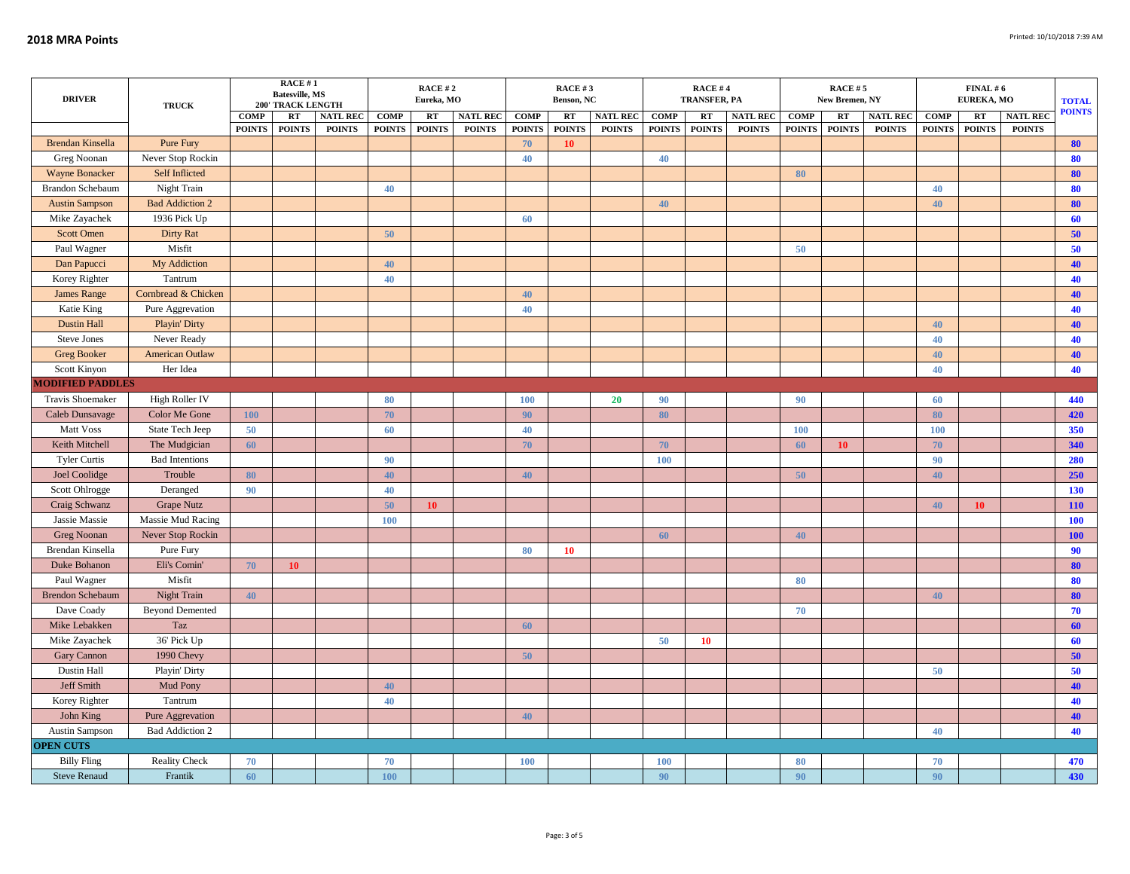| <b>DRIVER</b>           | <b>TRUCK</b>           |               | RACE #1<br><b>Batesville, MS</b><br><b>200' TRACK LENGTH</b> |                 |               | RACE #2<br>Eureka, MO |                 |               | RACE #3<br>Benson, NC |                 |               | <b>RACE #4</b><br><b>TRANSFER, PA</b> |                 |               | <b>RACE #5</b><br>New Bremen, NY |                 | EUREKA, MO    | <b>TOTAL</b>  |                 |               |
|-------------------------|------------------------|---------------|--------------------------------------------------------------|-----------------|---------------|-----------------------|-----------------|---------------|-----------------------|-----------------|---------------|---------------------------------------|-----------------|---------------|----------------------------------|-----------------|---------------|---------------|-----------------|---------------|
|                         |                        | <b>COMP</b>   | RT                                                           | <b>NATL REC</b> | <b>COMP</b>   | RT                    | <b>NATL REC</b> | <b>COMP</b>   | RT                    | <b>NATL REC</b> | <b>COMP</b>   | RT                                    | <b>NATL REC</b> | <b>COMP</b>   | RT                               | <b>NATL REC</b> | <b>COMP</b>   | RT            | <b>NATL REC</b> | <b>POINTS</b> |
|                         |                        | <b>POINTS</b> | <b>POINTS</b>                                                | <b>POINTS</b>   | <b>POINTS</b> | <b>POINTS</b>         | <b>POINTS</b>   | <b>POINTS</b> | <b>POINTS</b>         | <b>POINTS</b>   | <b>POINTS</b> | <b>POINTS</b>                         | <b>POINTS</b>   | <b>POINTS</b> | <b>POINTS</b>                    | <b>POINTS</b>   | <b>POINTS</b> | <b>POINTS</b> | <b>POINTS</b>   |               |
| <b>Brendan Kinsella</b> | Pure Fury              |               |                                                              |                 |               |                       |                 | 70            | 10                    |                 |               |                                       |                 |               |                                  |                 |               |               |                 | 80            |
| Greg Noonan             | Never Stop Rockin      |               |                                                              |                 |               |                       |                 | 40            |                       |                 | 40            |                                       |                 |               |                                  |                 |               |               |                 | 80            |
| Wayne Bonacker          | Self Inflicted         |               |                                                              |                 |               |                       |                 |               |                       |                 |               |                                       |                 | 80            |                                  |                 |               |               |                 | 80            |
| <b>Brandon Schebaum</b> | Night Train            |               |                                                              |                 | 40            |                       |                 |               |                       |                 |               |                                       |                 |               |                                  |                 | 40            |               |                 | 80            |
| <b>Austin Sampson</b>   | <b>Bad Addiction 2</b> |               |                                                              |                 |               |                       |                 |               |                       |                 | 40            |                                       |                 |               |                                  |                 | 40            |               |                 | 80            |
| Mike Zayachek           | 1936 Pick Up           |               |                                                              |                 |               |                       |                 | 60            |                       |                 |               |                                       |                 |               |                                  |                 |               |               |                 | 60            |
| <b>Scott Omen</b>       | <b>Dirty Rat</b>       |               |                                                              |                 | 50            |                       |                 |               |                       |                 |               |                                       |                 |               |                                  |                 |               |               |                 | 50            |
| Paul Wagner             | Misfit                 |               |                                                              |                 |               |                       |                 |               |                       |                 |               |                                       |                 | 50            |                                  |                 |               |               |                 | 50            |
| Dan Papucci             | My Addiction           |               |                                                              |                 | 40            |                       |                 |               |                       |                 |               |                                       |                 |               |                                  |                 |               |               |                 | 40            |
| Korey Righter           | Tantrum                |               |                                                              |                 | 40            |                       |                 |               |                       |                 |               |                                       |                 |               |                                  |                 |               |               |                 | 40            |
| <b>James Range</b>      | Cornbread & Chicken    |               |                                                              |                 |               |                       |                 | 40            |                       |                 |               |                                       |                 |               |                                  |                 |               |               |                 | 40            |
| Katie King              | Pure Aggrevation       |               |                                                              |                 |               |                       |                 | 40            |                       |                 |               |                                       |                 |               |                                  |                 |               |               |                 | 40            |
| <b>Dustin Hall</b>      | Playin' Dirty          |               |                                                              |                 |               |                       |                 |               |                       |                 |               |                                       |                 |               |                                  |                 | 40            |               |                 | 40            |
| Steve Jones             | Never Ready            |               |                                                              |                 |               |                       |                 |               |                       |                 |               |                                       |                 |               |                                  |                 | 40            |               |                 | 40            |
| <b>Greg Booker</b>      | <b>American Outlaw</b> |               |                                                              |                 |               |                       |                 |               |                       |                 |               |                                       |                 |               |                                  |                 | 40            |               |                 | 40            |
| Scott Kinyon            | Her Idea               |               |                                                              |                 |               |                       |                 |               |                       |                 |               |                                       |                 |               |                                  |                 | 40            |               |                 | 40            |
| <b>MODIFIED PADDLES</b> |                        |               |                                                              |                 |               |                       |                 |               |                       |                 |               |                                       |                 |               |                                  |                 |               |               |                 |               |
| Travis Shoemaker        | High Roller IV         |               |                                                              |                 | 80            |                       |                 | <b>100</b>    |                       | 20              | 90            |                                       |                 | 90            |                                  |                 | 60            |               |                 | 440           |
| Caleb Dunsavage         | Color Me Gone          | 100           |                                                              |                 | 70            |                       |                 | 90            |                       |                 | 80            |                                       |                 |               |                                  |                 | 80            |               |                 | 420           |
| Matt Voss               | State Tech Jeep        | 50            |                                                              |                 | 60            |                       |                 | 40            |                       |                 |               |                                       |                 | 100           |                                  |                 | <b>100</b>    |               |                 | 350           |
| Keith Mitchell          | The Mudgician          | 60            |                                                              |                 |               |                       |                 | 70            |                       |                 | 70            |                                       |                 | 60            | 10 <sup>°</sup>                  |                 | 70            |               |                 | 340           |
| <b>Tyler Curtis</b>     | <b>Bad Intentions</b>  |               |                                                              |                 | 90            |                       |                 |               |                       |                 | 100           |                                       |                 |               |                                  |                 | 90            |               |                 | 280           |
| Joel Coolidge           | Trouble                | 80            |                                                              |                 | 40            |                       |                 | 40            |                       |                 |               |                                       |                 | 50            |                                  |                 | 40            |               |                 | 250           |
| Scott Ohlrogge          | Deranged               | 90            |                                                              |                 | 40            |                       |                 |               |                       |                 |               |                                       |                 |               |                                  |                 |               |               |                 | 130           |
| Craig Schwanz           | <b>Grape Nutz</b>      |               |                                                              |                 | 50            | 10                    |                 |               |                       |                 |               |                                       |                 |               |                                  |                 | 40            | 10            |                 | <b>110</b>    |
| Jassie Massie           | Massie Mud Racing      |               |                                                              |                 | 100           |                       |                 |               |                       |                 |               |                                       |                 |               |                                  |                 |               |               |                 | 100           |
| <b>Greg Noonan</b>      | Never Stop Rockin      |               |                                                              |                 |               |                       |                 |               |                       |                 | 60            |                                       |                 | 40            |                                  |                 |               |               |                 | 100           |
| Brendan Kinsella        | Pure Fury              |               |                                                              |                 |               |                       |                 | 80            | 10                    |                 |               |                                       |                 |               |                                  |                 |               |               |                 | 90            |
| Duke Bohanon            | Eli's Comin'           | 70            | 10                                                           |                 |               |                       |                 |               |                       |                 |               |                                       |                 |               |                                  |                 |               |               |                 | 80            |
| Paul Wagner             | Misfit                 |               |                                                              |                 |               |                       |                 |               |                       |                 |               |                                       |                 | 80            |                                  |                 |               |               |                 | 80            |
| <b>Brendon Schebaum</b> | Night Train            | 40            |                                                              |                 |               |                       |                 |               |                       |                 |               |                                       |                 |               |                                  |                 | 40            |               |                 | 80            |
| Dave Coady              | <b>Beyond Demented</b> |               |                                                              |                 |               |                       |                 |               |                       |                 |               |                                       |                 | 70            |                                  |                 |               |               |                 | 70            |
| Mike Lebakken           | Taz                    |               |                                                              |                 |               |                       |                 | 60            |                       |                 |               |                                       |                 |               |                                  |                 |               |               |                 | 60            |
| Mike Zayachek           | 36' Pick Up            |               |                                                              |                 |               |                       |                 |               |                       |                 | 50            | 10                                    |                 |               |                                  |                 |               |               |                 | 60            |
| Gary Cannon             | 1990 Chevy             |               |                                                              |                 |               |                       |                 | 50            |                       |                 |               |                                       |                 |               |                                  |                 |               |               |                 | 50            |
| Dustin Hall             | Playin' Dirty          |               |                                                              |                 |               |                       |                 |               |                       |                 |               |                                       |                 |               |                                  |                 | 50            |               |                 | 50            |
| Jeff Smith              | <b>Mud Pony</b>        |               |                                                              |                 | 40            |                       |                 |               |                       |                 |               |                                       |                 |               |                                  |                 |               |               |                 | 40            |
| Korey Righter           | Tantrum                |               |                                                              |                 | 40            |                       |                 |               |                       |                 |               |                                       |                 |               |                                  |                 |               |               |                 | 40            |
| John King               | Pure Aggrevation       |               |                                                              |                 |               |                       |                 | 40            |                       |                 |               |                                       |                 |               |                                  |                 |               |               |                 | 40            |
| <b>Austin Sampson</b>   | Bad Addiction 2        |               |                                                              |                 |               |                       |                 |               |                       |                 |               |                                       |                 |               |                                  |                 | 40            |               |                 | 40            |
| <b>OPEN CUTS</b>        |                        |               |                                                              |                 |               |                       |                 |               |                       |                 |               |                                       |                 |               |                                  |                 |               |               |                 |               |
| <b>Billy Fling</b>      | <b>Reality Check</b>   | 70            |                                                              |                 | 70            |                       |                 | <b>100</b>    |                       |                 | <b>100</b>    |                                       |                 | 80            |                                  |                 | 70            |               |                 | 470           |
| <b>Steve Renaud</b>     | Frantik                | 60            |                                                              |                 | 100           |                       |                 |               |                       |                 | 90            |                                       |                 | 90            |                                  |                 | 90            |               |                 | 430           |
|                         |                        |               |                                                              |                 |               |                       |                 |               |                       |                 |               |                                       |                 |               |                                  |                 |               |               |                 |               |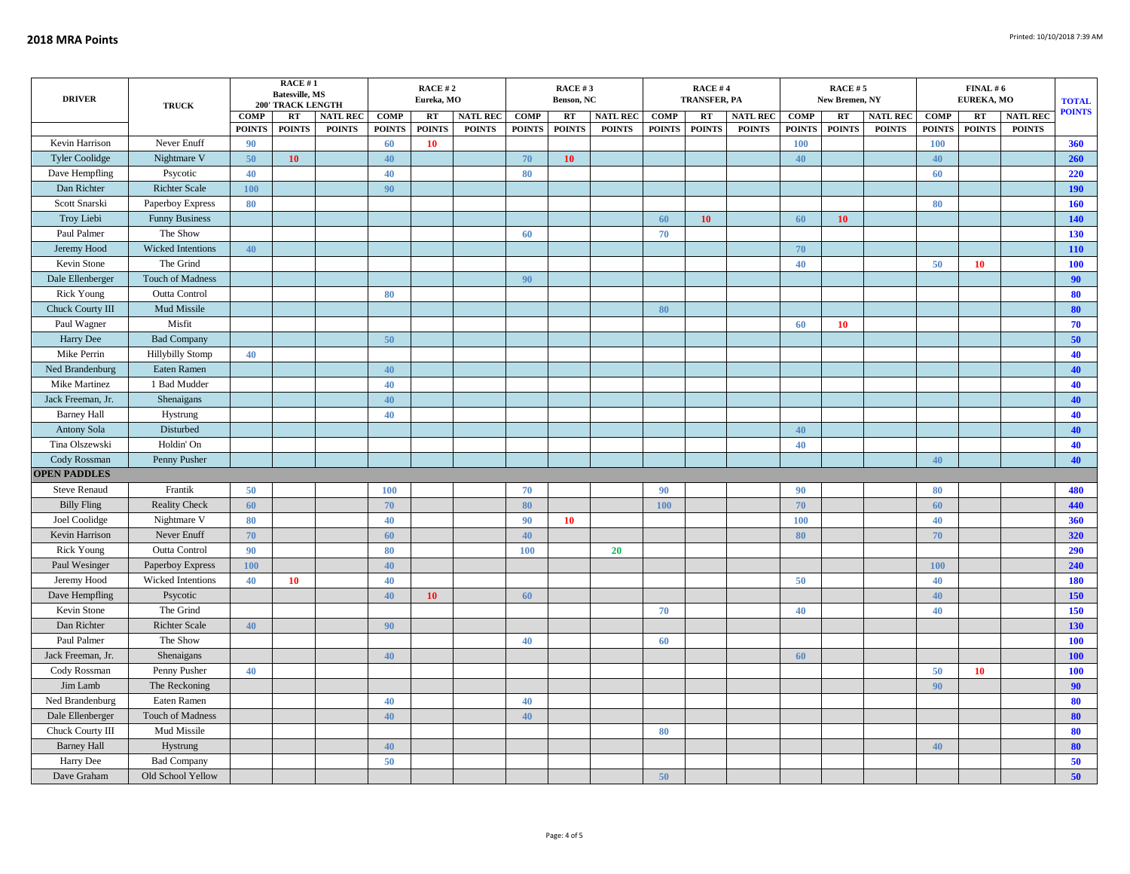| <b>DRIVER</b>                        | <b>TRUCK</b>                 |                              | RACE#1<br><b>Batesville, MS</b><br><b>200' TRACK LENGTH</b> |                                  |                              | <b>RACE #2</b><br>Eureka, MO |                                  |                              | <b>RACE #3</b><br>Benson, NC |                                  | <b>RACE #4</b><br>TRANSFER, PA |                     |                                  |                              | <b>RACE #5</b><br>New Bremen, NY |                                  | EUREKA, MO                   | <b>TOTAL</b><br><b>POINTS</b>  |                                  |            |
|--------------------------------------|------------------------------|------------------------------|-------------------------------------------------------------|----------------------------------|------------------------------|------------------------------|----------------------------------|------------------------------|------------------------------|----------------------------------|--------------------------------|---------------------|----------------------------------|------------------------------|----------------------------------|----------------------------------|------------------------------|--------------------------------|----------------------------------|------------|
|                                      |                              | <b>COMP</b><br><b>POINTS</b> | RT<br><b>POINTS</b>                                         | <b>NATL REC</b><br><b>POINTS</b> | <b>COMP</b><br><b>POINTS</b> | RT<br><b>POINTS</b>          | <b>NATL REC</b><br><b>POINTS</b> | <b>COMP</b><br><b>POINTS</b> | RT<br><b>POINTS</b>          | <b>NATL REC</b><br><b>POINTS</b> | <b>COMP</b><br><b>POINTS</b>   | RT<br><b>POINTS</b> | <b>NATL REC</b><br><b>POINTS</b> | <b>COMP</b><br><b>POINTS</b> | RT<br><b>POINTS</b>              | <b>NATL REC</b><br><b>POINTS</b> | <b>COMP</b><br><b>POINTS</b> | $\mathbf{RT}$<br><b>POINTS</b> | <b>NATL REC</b><br><b>POINTS</b> |            |
| Kevin Harrison                       | Never Enuff                  | 90                           |                                                             |                                  | 60                           | 10                           |                                  |                              |                              |                                  |                                |                     |                                  | <b>100</b>                   |                                  |                                  | 100                          |                                |                                  | 360        |
| <b>Tyler Coolidge</b>                | Nightmare V                  | 50                           | 10                                                          |                                  | 40                           |                              |                                  | 70                           | 10                           |                                  |                                |                     |                                  | 40                           |                                  |                                  | 40                           |                                |                                  | 260        |
| Dave Hempfling                       | Psycotic                     | 40                           |                                                             |                                  | 40                           |                              |                                  | 80                           |                              |                                  |                                |                     |                                  |                              |                                  |                                  | 60                           |                                |                                  | 220        |
| Dan Richter                          | <b>Richter Scale</b>         | <b>100</b>                   |                                                             |                                  | 90                           |                              |                                  |                              |                              |                                  |                                |                     |                                  |                              |                                  |                                  |                              |                                |                                  | <b>190</b> |
| Scott Snarski                        | Paperboy Express             | 80                           |                                                             |                                  |                              |                              |                                  |                              |                              |                                  |                                |                     |                                  |                              |                                  |                                  | 80                           |                                |                                  | 160        |
| Troy Liebi                           | <b>Funny Business</b>        |                              |                                                             |                                  |                              |                              |                                  |                              |                              |                                  | 60                             | 10                  |                                  | 60                           | 10                               |                                  |                              |                                |                                  | 140        |
| Paul Palmer                          | The Show                     |                              |                                                             |                                  |                              |                              |                                  | 60                           |                              |                                  | 70                             |                     |                                  |                              |                                  |                                  |                              |                                |                                  | 130        |
| Jeremy Hood                          | Wicked Intentions            | 40                           |                                                             |                                  |                              |                              |                                  |                              |                              |                                  |                                |                     |                                  | 70                           |                                  |                                  |                              |                                |                                  | <b>110</b> |
| Kevin Stone                          | The Grind                    |                              |                                                             |                                  |                              |                              |                                  |                              |                              |                                  |                                |                     |                                  | 40                           |                                  |                                  | 50                           | <b>10</b>                      |                                  | <b>100</b> |
| Dale Ellenberger                     | <b>Touch of Madness</b>      |                              |                                                             |                                  |                              |                              |                                  | 90                           |                              |                                  |                                |                     |                                  |                              |                                  |                                  |                              |                                |                                  | 90         |
| <b>Rick Young</b>                    | Outta Control                |                              |                                                             |                                  | 80                           |                              |                                  |                              |                              |                                  |                                |                     |                                  |                              |                                  |                                  |                              |                                |                                  | 80         |
| Chuck Courty III                     | Mud Missile                  |                              |                                                             |                                  |                              |                              |                                  |                              |                              |                                  | 80                             |                     |                                  |                              |                                  |                                  |                              |                                |                                  | 80         |
| Paul Wagner                          | Misfit                       |                              |                                                             |                                  |                              |                              |                                  |                              |                              |                                  |                                |                     |                                  | 60                           | 10                               |                                  |                              |                                |                                  | 70         |
| Harry Dee                            | <b>Bad Company</b>           |                              |                                                             |                                  | 50                           |                              |                                  |                              |                              |                                  |                                |                     |                                  |                              |                                  |                                  |                              |                                |                                  | 50         |
| Mike Perrin                          | <b>Hillybilly Stomp</b>      | 40                           |                                                             |                                  |                              |                              |                                  |                              |                              |                                  |                                |                     |                                  |                              |                                  |                                  |                              |                                |                                  | 40         |
| Ned Brandenburg                      | Eaten Ramen                  |                              |                                                             |                                  | 40                           |                              |                                  |                              |                              |                                  |                                |                     |                                  |                              |                                  |                                  |                              |                                |                                  | 40         |
| Mike Martinez                        | 1 Bad Mudder                 |                              |                                                             |                                  | 40                           |                              |                                  |                              |                              |                                  |                                |                     |                                  |                              |                                  |                                  |                              |                                |                                  | 40         |
| Jack Freeman, Jr.                    | Shenaigans                   |                              |                                                             |                                  | 40                           |                              |                                  |                              |                              |                                  |                                |                     |                                  |                              |                                  |                                  |                              |                                |                                  | 40         |
| <b>Barney Hall</b>                   | Hystrung                     |                              |                                                             |                                  | 40                           |                              |                                  |                              |                              |                                  |                                |                     |                                  |                              |                                  |                                  |                              |                                |                                  | 40         |
| Antony Sola                          | Disturbed                    |                              |                                                             |                                  |                              |                              |                                  |                              |                              |                                  |                                |                     |                                  | 40                           |                                  |                                  |                              |                                |                                  | 40         |
| Tina Olszewski                       | Holdin' On                   |                              |                                                             |                                  |                              |                              |                                  |                              |                              |                                  |                                |                     |                                  | 40                           |                                  |                                  |                              |                                |                                  | 40         |
| Cody Rossman                         | Penny Pusher                 |                              |                                                             |                                  |                              |                              |                                  |                              |                              |                                  |                                |                     |                                  |                              |                                  |                                  | 40                           |                                |                                  | 40         |
| <b>OPEN PADDLES</b>                  |                              |                              |                                                             |                                  |                              |                              |                                  |                              |                              |                                  |                                |                     |                                  |                              |                                  |                                  |                              |                                |                                  |            |
| <b>Steve Renaud</b>                  | Frantik                      | 50                           |                                                             |                                  | 100                          |                              |                                  | 70                           |                              |                                  | 90                             |                     |                                  | 90                           |                                  |                                  | 80                           |                                |                                  | 480        |
| <b>Billy Fling</b>                   | <b>Reality Check</b>         | 60                           |                                                             |                                  | 70                           |                              |                                  | 80                           |                              |                                  | <b>100</b>                     |                     |                                  | 70                           |                                  |                                  | 60                           |                                |                                  | 440        |
| Joel Coolidge                        | Nightmare V                  | 80                           |                                                             |                                  | 40                           |                              |                                  | 90                           | 10                           |                                  |                                |                     |                                  | 100                          |                                  |                                  | 40                           |                                |                                  | 360        |
| Kevin Harrison                       | Never Enuff                  | 70                           |                                                             |                                  | 60                           |                              |                                  | 40                           |                              |                                  |                                |                     |                                  | 80                           |                                  |                                  | 70                           |                                |                                  | 320        |
| <b>Rick Young</b>                    | Outta Control                | 90                           |                                                             |                                  | 80                           |                              |                                  | 100                          |                              | 20                               |                                |                     |                                  |                              |                                  |                                  |                              |                                |                                  | 290        |
| Paul Wesinger                        | Paperboy Express             | <b>100</b>                   |                                                             |                                  | 40                           |                              |                                  |                              |                              |                                  |                                |                     |                                  |                              |                                  |                                  | 100                          |                                |                                  | 240        |
| Jeremy Hood                          | Wicked Intentions            | 40                           | 10                                                          |                                  | 40                           |                              |                                  |                              |                              |                                  |                                |                     |                                  | 50                           |                                  |                                  | 40                           |                                |                                  | 180        |
| Dave Hempfling                       | Psycotic                     |                              |                                                             |                                  | 40                           | 10                           |                                  | 60                           |                              |                                  |                                |                     |                                  |                              |                                  |                                  | 40                           |                                |                                  | 150        |
| Kevin Stone                          | The Grind                    |                              |                                                             |                                  |                              |                              |                                  |                              |                              |                                  | 70                             |                     |                                  | 40                           |                                  |                                  | 40                           |                                |                                  | 150        |
| Dan Richter                          | <b>Richter Scale</b>         | 40                           |                                                             |                                  | 90                           |                              |                                  |                              |                              |                                  |                                |                     |                                  |                              |                                  |                                  |                              |                                |                                  | <b>130</b> |
| Paul Palmer                          | The Show                     |                              |                                                             |                                  |                              |                              |                                  | 40                           |                              |                                  | 60                             |                     |                                  |                              |                                  |                                  |                              |                                |                                  | 100        |
| Jack Freeman, Jr.                    | Shenaigans                   |                              |                                                             |                                  | 40                           |                              |                                  |                              |                              |                                  |                                |                     |                                  | 60                           |                                  |                                  |                              |                                |                                  | <b>100</b> |
| Cody Rossman<br>Jim Lamb             | Penny Pusher                 | 40                           |                                                             |                                  |                              |                              |                                  |                              |                              |                                  |                                |                     |                                  |                              |                                  |                                  | 50                           | 10                             |                                  | 100        |
|                                      | The Reckoning<br>Eaten Ramen |                              |                                                             |                                  |                              |                              |                                  | 40                           |                              |                                  |                                |                     |                                  |                              |                                  |                                  | 90                           |                                |                                  | 90         |
| Ned Brandenburg                      | Touch of Madness             |                              |                                                             |                                  | 40                           |                              |                                  |                              |                              |                                  |                                |                     |                                  |                              |                                  |                                  |                              |                                |                                  | 80         |
| Dale Ellenberger<br>Chuck Courty III | Mud Missile                  |                              |                                                             |                                  | 40                           |                              |                                  | 40                           |                              |                                  | 80                             |                     |                                  |                              |                                  |                                  |                              |                                |                                  | 80<br>80   |
| <b>Barney Hall</b>                   | Hystrung                     |                              |                                                             |                                  | 40                           |                              |                                  |                              |                              |                                  |                                |                     |                                  |                              |                                  |                                  | 40                           |                                |                                  | 80         |
| Harry Dee                            | <b>Bad Company</b>           |                              |                                                             |                                  | 50                           |                              |                                  |                              |                              |                                  |                                |                     |                                  |                              |                                  |                                  |                              |                                |                                  | 50         |
| Dave Graham                          | Old School Yellow            |                              |                                                             |                                  |                              |                              |                                  |                              |                              |                                  | 50                             |                     |                                  |                              |                                  |                                  |                              |                                |                                  | 50         |
|                                      |                              |                              |                                                             |                                  |                              |                              |                                  |                              |                              |                                  |                                |                     |                                  |                              |                                  |                                  |                              |                                |                                  |            |